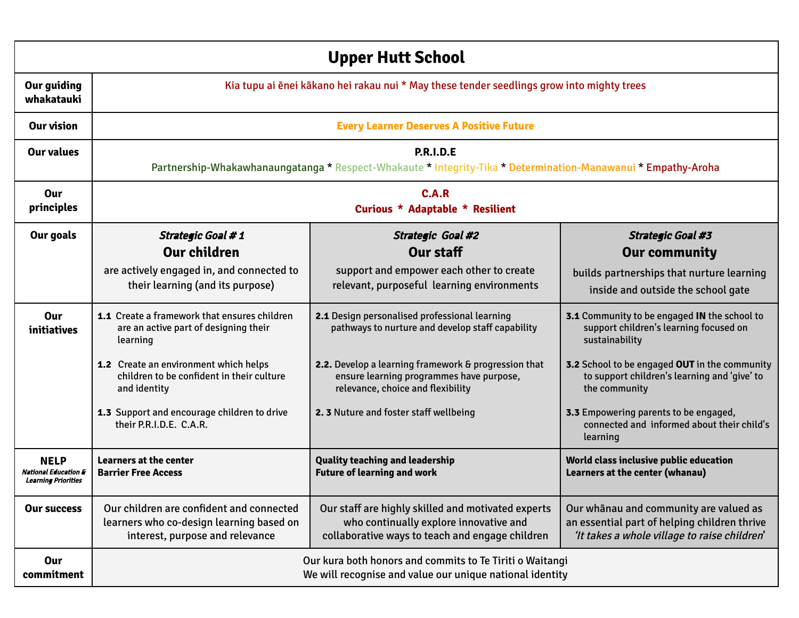|                                                                              | <b>Upper Hutt School</b>                                                                                                |                                                                                                                                                 |                                                                                                                                        |  |  |  |  |  |  |  |
|------------------------------------------------------------------------------|-------------------------------------------------------------------------------------------------------------------------|-------------------------------------------------------------------------------------------------------------------------------------------------|----------------------------------------------------------------------------------------------------------------------------------------|--|--|--|--|--|--|--|
| <b>Our guiding</b><br>whakatauki                                             | Kia tupu ai ēnei kākano hei rakau nui * May these tender seedlings grow into mighty trees                               |                                                                                                                                                 |                                                                                                                                        |  |  |  |  |  |  |  |
| Our vision                                                                   |                                                                                                                         | <b>Every Learner Deserves A Positive Future</b>                                                                                                 |                                                                                                                                        |  |  |  |  |  |  |  |
| <b>Our values</b>                                                            |                                                                                                                         | <b>P.R.I.D.E</b><br>Partnership-Whakawhanaungatanga * Respect-Whakaute * Integrity-Tika * Determination-Manawanui * Empathy-Aroha               |                                                                                                                                        |  |  |  |  |  |  |  |
| Our<br>principles                                                            | C.A.R<br><b>Curious * Adaptable * Resilient</b>                                                                         |                                                                                                                                                 |                                                                                                                                        |  |  |  |  |  |  |  |
| Our goals                                                                    | <b>Strategic Goal #1</b>                                                                                                | Strategic Goal #2                                                                                                                               | <b>Strategic Goal #3</b>                                                                                                               |  |  |  |  |  |  |  |
|                                                                              | <b>Our children</b>                                                                                                     | Our staff                                                                                                                                       | <b>Our community</b>                                                                                                                   |  |  |  |  |  |  |  |
|                                                                              | are actively engaged in, and connected to<br>their learning (and its purpose)                                           | support and empower each other to create<br>relevant, purposeful learning environments                                                          | builds partnerships that nurture learning<br>inside and outside the school gate                                                        |  |  |  |  |  |  |  |
| Our<br>initiatives                                                           | 1.1 Create a framework that ensures children<br>are an active part of designing their<br>learning                       | 2.1 Design personalised professional learning<br>pathways to nurture and develop staff capability                                               | 3.1 Community to be engaged IN the school to<br>support children's learning focused on<br>sustainability                               |  |  |  |  |  |  |  |
|                                                                              | 1.2 Create an environment which helps<br>children to be confident in their culture<br>and identity                      | 2.2. Develop a learning framework & progression that<br>ensure learning programmes have purpose,<br>relevance, choice and flexibility           | 3.2 School to be engaged OUT in the community<br>to support children's learning and 'give' to<br>the community                         |  |  |  |  |  |  |  |
|                                                                              | 1.3 Support and encourage children to drive<br>their P.R.I.D.E. C.A.R.                                                  | 2. 3 Nuture and foster staff wellbeing                                                                                                          | 3.3 Empowering parents to be engaged,<br>connected and informed about their child's<br>learning                                        |  |  |  |  |  |  |  |
| <b>NELP</b><br><b>National Education &amp;</b><br><b>Learning Priorities</b> | Learners at the center<br><b>Barrier Free Access</b>                                                                    | <b>Quality teaching and leadership</b><br><b>Future of learning and work</b>                                                                    | World class inclusive public education<br><b>Learners at the center (whanau)</b>                                                       |  |  |  |  |  |  |  |
| <b>Our success</b>                                                           | Our children are confident and connected<br>learners who co-design learning based on<br>interest, purpose and relevance | Our staff are highly skilled and motivated experts<br>who continually explore innovative and<br>collaborative ways to teach and engage children | Our whānau and community are valued as<br>an essential part of helping children thrive<br>'It takes a whole village to raise children' |  |  |  |  |  |  |  |
| <b>Our</b><br>commitment                                                     |                                                                                                                         | Our kura both honors and commits to Te Tiriti o Waitangi<br>We will recognise and value our unique national identity                            |                                                                                                                                        |  |  |  |  |  |  |  |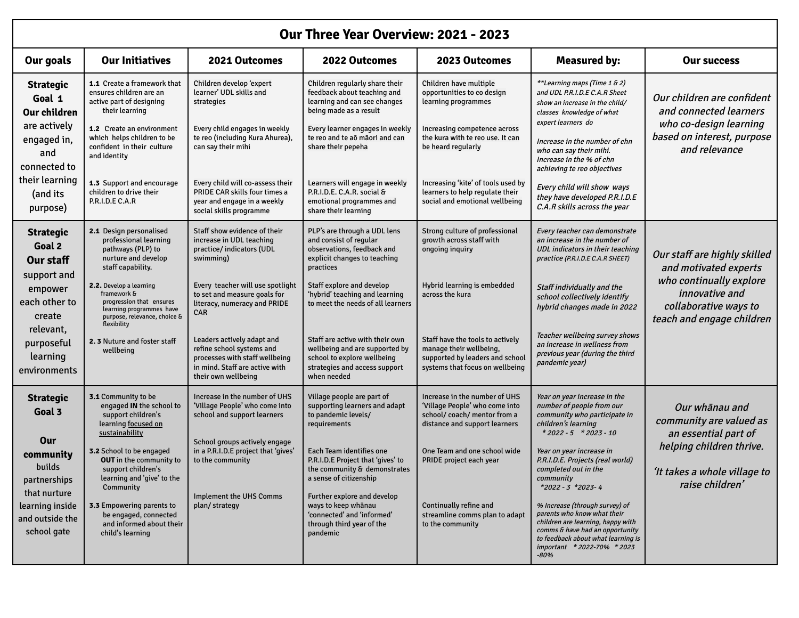|                                                                                                                                               | Our Three Year Overview: 2021 - 2023                                                                                                                                                                                                                                                                                                                       |                                                                                                                                                                                                                                                |                                                                                                                                                                                                                                                                                                                                                            |                                                                                                                                                                                                                                                                           |                                                                                                                                                                                                                                                                                                                                                                                                                                                                                             |                                                                                                                                                  |  |  |  |  |  |  |
|-----------------------------------------------------------------------------------------------------------------------------------------------|------------------------------------------------------------------------------------------------------------------------------------------------------------------------------------------------------------------------------------------------------------------------------------------------------------------------------------------------------------|------------------------------------------------------------------------------------------------------------------------------------------------------------------------------------------------------------------------------------------------|------------------------------------------------------------------------------------------------------------------------------------------------------------------------------------------------------------------------------------------------------------------------------------------------------------------------------------------------------------|---------------------------------------------------------------------------------------------------------------------------------------------------------------------------------------------------------------------------------------------------------------------------|---------------------------------------------------------------------------------------------------------------------------------------------------------------------------------------------------------------------------------------------------------------------------------------------------------------------------------------------------------------------------------------------------------------------------------------------------------------------------------------------|--------------------------------------------------------------------------------------------------------------------------------------------------|--|--|--|--|--|--|
| Our goals                                                                                                                                     | <b>Our Initiatives</b>                                                                                                                                                                                                                                                                                                                                     | 2021 Outcomes                                                                                                                                                                                                                                  | 2022 Outcomes                                                                                                                                                                                                                                                                                                                                              | 2023 Outcomes                                                                                                                                                                                                                                                             | <b>Measured by:</b>                                                                                                                                                                                                                                                                                                                                                                                                                                                                         | <b>Our success</b>                                                                                                                               |  |  |  |  |  |  |
| <b>Strategic</b><br>Goal 1<br><b>Our children</b>                                                                                             | <b>1.1</b> Create a framework that<br>ensures children are an<br>active part of designing<br>their learning                                                                                                                                                                                                                                                | Children develop 'expert<br>learner' UDL skills and<br>strategies                                                                                                                                                                              | Children regularly share their<br>feedback about teaching and<br>learning and can see changes<br>being made as a result                                                                                                                                                                                                                                    | Children have multiple<br>opportunities to co design<br>learning programmes                                                                                                                                                                                               | **Learning maps (Time 1 & 2)<br>and UDL P.R.I.D.E C.A.R Sheet<br>show an increase in the child/<br>classes knowledge of what<br>expert learners do                                                                                                                                                                                                                                                                                                                                          | Our children are confident<br>and connected learners                                                                                             |  |  |  |  |  |  |
| are actively<br>engaged in,<br>and<br>connected to                                                                                            | <b>1.2</b> Create an environment<br>which helps children to be<br>confident in their culture<br>and identity                                                                                                                                                                                                                                               | Every child engages in weekly<br>te reo (including Kura Ahurea),<br>can say their mihi                                                                                                                                                         | Every learner engages in weekly<br>te reo and te aō māori and can<br>share their pepeha                                                                                                                                                                                                                                                                    | Increasing competence across<br>the kura with te reo use. It can<br>be heard regularly                                                                                                                                                                                    | Increase in the number of chn<br>who can say their mihi.<br>Increase in the % of chn<br>achieving te reo objectives                                                                                                                                                                                                                                                                                                                                                                         | who co-design learning<br>based on interest, purpose<br>and relevance                                                                            |  |  |  |  |  |  |
| their learning<br>(and its<br>purpose)                                                                                                        | <b>1.3</b> Support and encourage<br>children to drive their<br>P.R.I.D.E C.A.R                                                                                                                                                                                                                                                                             | Every child will co-assess their<br>PRIDE CAR skills four times a<br>year and engage in a weekly<br>social skills programme                                                                                                                    | Learners will engage in weekly<br>P.R.I.D.E. C.A.R. social &<br>emotional programmes and<br>share their learning                                                                                                                                                                                                                                           | Increasing 'kite' of tools used by<br>learners to help regulate their<br>social and emotional wellbeing                                                                                                                                                                   | Every child will show ways<br>they have developed P.R.I.D.E<br>C.A.R skills across the year                                                                                                                                                                                                                                                                                                                                                                                                 |                                                                                                                                                  |  |  |  |  |  |  |
| <b>Strategic</b><br>Goal 2<br><b>Our staff</b><br>support and<br>empower<br>each other to<br>create                                           | 2.1 Design personalised<br>professional learning<br>pathways (PLP) to<br>nurture and develop<br>staff capability.<br>2.2. Develop a learning<br>framework &<br>progression that ensures<br>learning programmes have<br>purpose, relevance, choice &                                                                                                        | Staff show evidence of their<br>increase in UDL teaching<br>practice/ indicators (UDL<br>swimming)<br>Every teacher will use spotlight<br>to set and measure goals for<br>literacy, numeracy and PRIDE<br><b>CAR</b>                           | PLP's are through a UDL lens<br>and consist of regular<br>observations, feedback and<br>explicit changes to teaching<br>practices<br>Staff explore and develop<br>'hybrid' teaching and learning<br>to meet the needs of all learners                                                                                                                      | Strong culture of professional<br>growth across staff with<br>ongoing inquiry<br>Hybrid learning is embedded<br>across the kura                                                                                                                                           | Every teacher can demonstrate<br>an increase in the number of<br>UDL indicators in their teaching<br>practice (P.R.I.D.E C.A.R SHEET)<br>Staff individually and the<br>school collectively identify<br>hybrid changes made in 2022                                                                                                                                                                                                                                                          | Our staff are highly skilled<br>and motivated experts<br>who continually explore<br>innovative and<br>collaborative ways to                      |  |  |  |  |  |  |
| relevant,<br>purposeful<br>learning<br>environments                                                                                           | flexibility<br>2. 3 Nuture and foster staff<br>wellbeing                                                                                                                                                                                                                                                                                                   | Leaders actively adapt and<br>refine school systems and<br>processes with staff wellbeing<br>in mind. Staff are active with<br>their own wellbeing                                                                                             | Staff are active with their own<br>wellbeing and are supported by<br>school to explore wellbeing<br>strategies and access support<br>when needed                                                                                                                                                                                                           | Staff have the tools to actively<br>manage their wellbeing,<br>supported by leaders and school<br>systems that focus on wellbeing                                                                                                                                         | Teacher wellbeing survey shows<br>an increase in wellness from<br>previous year (during the third<br>pandemic year)                                                                                                                                                                                                                                                                                                                                                                         | teach and engage children                                                                                                                        |  |  |  |  |  |  |
| <b>Strategic</b><br>Goal 3<br>Our<br>community<br>builds<br>partnerships<br>that nurture<br>learning inside<br>and outside the<br>school gate | 3.1 Community to be<br>engaged IN the school to<br>support children's<br>learning focused on<br>sustainability<br><b>3.2</b> School to be engaged<br><b>OUT</b> in the community to<br>support children's<br>learning and 'give' to the<br>Community<br>3.3 Empowering parents to<br>be engaged, connected<br>and informed about their<br>child's learning | Increase in the number of UHS<br>'Village People' who come into<br>school and support learners<br>School groups actively engage<br>in a P.R.I.D.E project that 'gives'<br>to the community<br><b>Implement the UHS Comms</b><br>plan/ strategy | Village people are part of<br>supporting learners and adapt<br>to pandemic levels/<br>requirements<br>Each Team identifies one<br>P.R.I.D.E Project that 'gives' to<br>the community & demonstrates<br>a sense of citizenship<br>Further explore and develop<br>ways to keep whānau<br>'connected' and 'informed'<br>through third year of the<br>pandemic | Increase in the number of UHS<br>'Village People' who come into<br>school/coach/mentor from a<br>distance and support learners<br>One Team and one school wide<br>PRIDE project each year<br>Continually refine and<br>streamline comms plan to adapt<br>to the community | Year on year increase in the<br>number of people from our<br>community who participate in<br>children's learning<br>$*2022 - 5 * 2023 - 10$<br>Year on year increase in<br>P.R.I.D.E. Projects (real world)<br>completed out in the<br>community<br>*2022 - 3 *2023-4<br>% Increase (through survey) of<br>parents who know what their<br>children are learning, happy with<br>comms & have had an opportunity<br>to feedback about what learning is<br>important *2022-70% *2023<br>$-80%$ | Our whānau and<br>community are valued as<br>an essential part of<br>helping children thrive.<br>'It takes a whole village to<br>raise children' |  |  |  |  |  |  |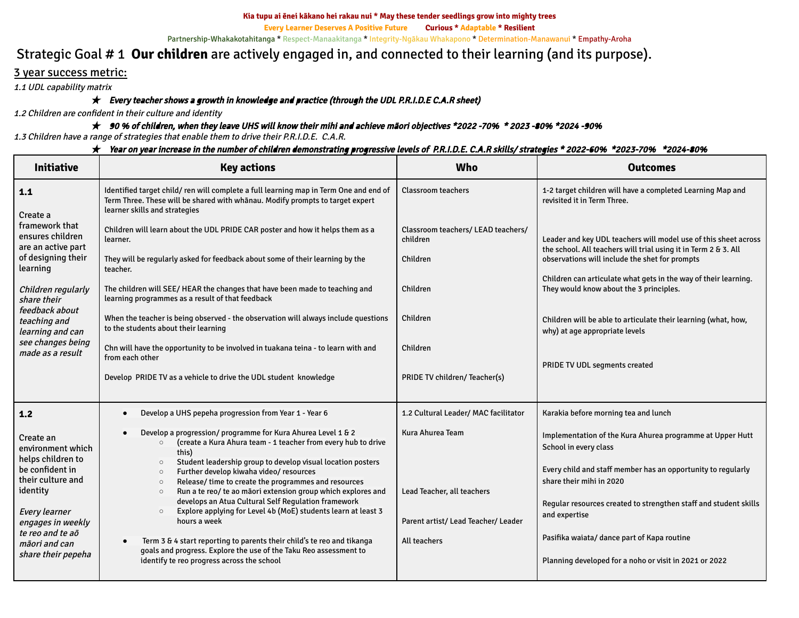#### **Kia tupu ai ēnei kākano hei rakau nui \* May these tender seedlings grow into mighty trees**

**Every Learner Deserves A Positive Future Curious \* Adaptable \* Resilient**

Partnership-Whakakotahitanga \* Respect-Manaakitanga \* Integrity-Ngākau Whakapono \* Determination-Manawanui \* Empathy-Aroha

# Strategic Goal # 1 **Our children** are actively engaged in, and connected to their learning (and its purpose).

# 3 year success metric:

1.1 UDL capability matrix

# $\star$  Every teacher shows a growth in knowledge and practice (through the UDL P.R.I.D.E C.A.R sheet)

1.2 Children are confident in their culture and identity

## ★ <sup>90</sup> % of children, when they leave UHS will know their mihi and achieve māori objectives \*2022 -70% \* <sup>2023</sup> -80% \*2024 -90%

1.3 Children have <sup>a</sup> range of strategies that enable them to drive their P.R.I.D.E. C.A.R.

| ★ Year on year increase in the number of children demonstrating progressive levels of P.R.I.D.E. C.A.R skills/ strategies * 2022-60% *2023-70% *2024-80% |  |  |  |
|----------------------------------------------------------------------------------------------------------------------------------------------------------|--|--|--|
|                                                                                                                                                          |  |  |  |

| <b>Initiative</b>                                                                                                                                                                                        | <b>Key actions</b>                                                                                                                                                                                                                                                                                                                                                                                                                                                                                                                                                                                                                                                                                                                                                              | <b>Who</b>                                                                                            | <b>Outcomes</b>                                                                                                                                                                                                                                                                                                                                                              |
|----------------------------------------------------------------------------------------------------------------------------------------------------------------------------------------------------------|---------------------------------------------------------------------------------------------------------------------------------------------------------------------------------------------------------------------------------------------------------------------------------------------------------------------------------------------------------------------------------------------------------------------------------------------------------------------------------------------------------------------------------------------------------------------------------------------------------------------------------------------------------------------------------------------------------------------------------------------------------------------------------|-------------------------------------------------------------------------------------------------------|------------------------------------------------------------------------------------------------------------------------------------------------------------------------------------------------------------------------------------------------------------------------------------------------------------------------------------------------------------------------------|
| 1.1<br>Create a                                                                                                                                                                                          | Identified target child/ren will complete a full learning map in Term One and end of<br>Term Three. These will be shared with whanau. Modify prompts to target expert<br>learner skills and strategies                                                                                                                                                                                                                                                                                                                                                                                                                                                                                                                                                                          | <b>Classroom teachers</b>                                                                             | 1-2 target children will have a completed Learning Map and<br>revisited it in Term Three.                                                                                                                                                                                                                                                                                    |
| framework that<br>ensures children<br>are an active part<br>of designing their                                                                                                                           | Children will learn about the UDL PRIDE CAR poster and how it helps them as a<br>learner.<br>They will be regularly asked for feedback about some of their learning by the                                                                                                                                                                                                                                                                                                                                                                                                                                                                                                                                                                                                      | Classroom teachers/ LEAD teachers/<br>children<br>Children                                            | Leader and key UDL teachers will model use of this sheet across<br>the school. All teachers will trial using it in Term 2 & 3. All<br>observations will include the shet for prompts                                                                                                                                                                                         |
| learning<br>Children regularly<br>share their                                                                                                                                                            | teacher.<br>The children will SEE/HEAR the changes that have been made to teaching and<br>learning programmes as a result of that feedback                                                                                                                                                                                                                                                                                                                                                                                                                                                                                                                                                                                                                                      | Children                                                                                              | Children can articulate what gets in the way of their learning.<br>They would know about the 3 principles.                                                                                                                                                                                                                                                                   |
| feedback about<br>teaching and<br>learning and can<br>see changes being                                                                                                                                  | When the teacher is being observed - the observation will always include questions<br>to the students about their learning                                                                                                                                                                                                                                                                                                                                                                                                                                                                                                                                                                                                                                                      | Children                                                                                              | Children will be able to articulate their learning (what, how,<br>why) at age appropriate levels                                                                                                                                                                                                                                                                             |
| made as a result                                                                                                                                                                                         | Chn will have the opportunity to be involved in tuakana teina - to learn with and<br>from each other<br>Develop PRIDE TV as a vehicle to drive the UDL student knowledge                                                                                                                                                                                                                                                                                                                                                                                                                                                                                                                                                                                                        | Children<br>PRIDE TV children/ Teacher(s)                                                             | PRIDE TV UDL segments created                                                                                                                                                                                                                                                                                                                                                |
| 1.2                                                                                                                                                                                                      | Develop a UHS pepeha progression from Year 1 - Year 6<br>$\bullet$                                                                                                                                                                                                                                                                                                                                                                                                                                                                                                                                                                                                                                                                                                              | 1.2 Cultural Leader/ MAC facilitator                                                                  | Karakia before morning tea and lunch                                                                                                                                                                                                                                                                                                                                         |
| Create an<br>environment which<br>helps children to<br>be confident in<br>their culture and<br>identity<br>Every learner<br>engages in weekly<br>te reo and te aō<br>māori and can<br>share their pepeha | Develop a progression/ programme for Kura Ahurea Level 1 & 2<br>(create a Kura Ahura team - 1 teacher from every hub to drive<br>$\circ$<br>this)<br>Student leadership group to develop visual location posters<br>$\circ$<br>Further develop kiwaha video/ resources<br>$\circ$<br>Release/ time to create the programmes and resources<br>$\circ$<br>Run a te reo/ te ao māori extension group which explores and<br>$\circ$<br>develops an Atua Cultural Self Regulation framework<br>Explore applying for Level 4b (MoE) students learn at least 3<br>$\circ$<br>hours a week<br>Term 3 & 4 start reporting to parents their child's te reo and tikanga<br>goals and progress. Explore the use of the Taku Reo assessment to<br>identify te reo progress across the school | Kura Ahurea Team<br>Lead Teacher, all teachers<br>Parent artist/ Lead Teacher/ Leader<br>All teachers | Implementation of the Kura Ahurea programme at Upper Hutt<br>School in every class<br>Every child and staff member has an opportunity to regularly<br>share their mihi in 2020<br>Regular resources created to strengthen staff and student skills<br>and expertise<br>Pasifika waiata/ dance part of Kapa routine<br>Planning developed for a noho or visit in 2021 or 2022 |
|                                                                                                                                                                                                          |                                                                                                                                                                                                                                                                                                                                                                                                                                                                                                                                                                                                                                                                                                                                                                                 |                                                                                                       |                                                                                                                                                                                                                                                                                                                                                                              |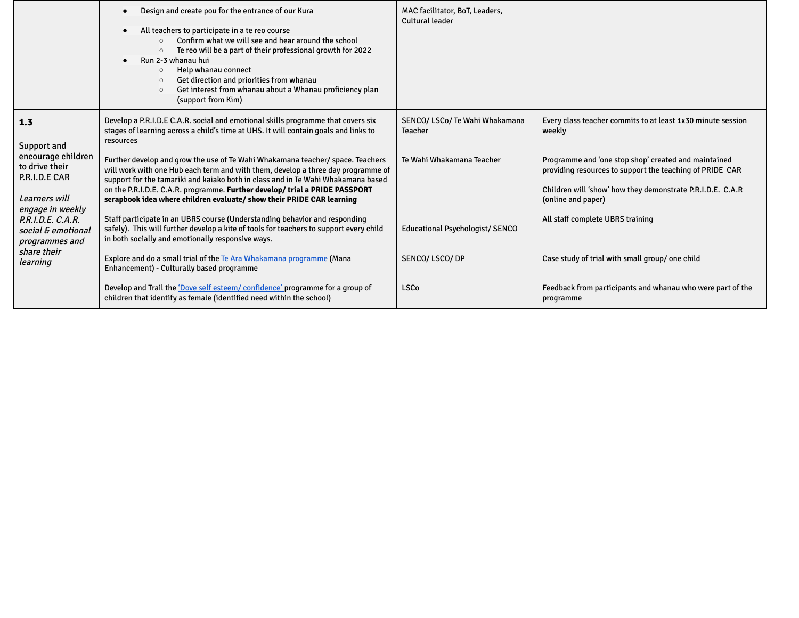|                                                                                                                  | Design and create pou for the entrance of our Kura<br>All teachers to participate in a te reo course<br>Confirm what we will see and hear around the school<br>$\Omega$<br>Te reo will be a part of their professional growth for 2022<br>$\circ$<br>Run 2-3 whanau hui<br>Help whanau connect<br>$\circ$<br>Get direction and priorities from whanau<br>$\circ$<br>Get interest from whanau about a Whanau proficiency plan<br>$\circ$<br>(support from Kim)                                                                                                                                          | MAC facilitator, BoT, Leaders,<br>Cultural leader                             |                                                                                                                                                                                                                                                                               |
|------------------------------------------------------------------------------------------------------------------|--------------------------------------------------------------------------------------------------------------------------------------------------------------------------------------------------------------------------------------------------------------------------------------------------------------------------------------------------------------------------------------------------------------------------------------------------------------------------------------------------------------------------------------------------------------------------------------------------------|-------------------------------------------------------------------------------|-------------------------------------------------------------------------------------------------------------------------------------------------------------------------------------------------------------------------------------------------------------------------------|
| 1.3<br>Support and<br>encourage children<br>to drive their<br>P.R.I.D.E CAR<br>Learners will<br>engage in weekly | Develop a P.R.I.D.E C.A.R. social and emotional skills programme that covers six<br>stages of learning across a child's time at UHS. It will contain goals and links to<br>resources<br>Further develop and grow the use of Te Wahi Whakamana teacher/ space. Teachers<br>will work with one Hub each term and with them, develop a three day programme of<br>support for the tamariki and kaiako both in class and in Te Wahi Whakamana based<br>on the P.R.I.D.E. C.A.R. programme. Further develop/ trial a PRIDE PASSPORT<br>scrapbook idea where children evaluate/ show their PRIDE CAR learning | SENCO/ LSCo/ Te Wahi Whakamana<br><b>Teacher</b><br>Te Wahi Whakamana Teacher | Every class teacher commits to at least 1x30 minute session<br>weekly<br>Programme and 'one stop shop' created and maintained<br>providing resources to support the teaching of PRIDE CAR<br>Children will 'show' how they demonstrate P.R.I.D.E. C.A.R<br>(online and paper) |
| P.R.I.D.E. C.A.R.<br>social & emotional<br>programmes and<br>share their                                         | Staff participate in an UBRS course (Understanding behavior and responding<br>safely). This will further develop a kite of tools for teachers to support every child<br>in both socially and emotionally responsive ways.<br>Explore and do a small trial of the Te Ara Whakamana programme (Mana                                                                                                                                                                                                                                                                                                      | <b>Educational Psychologist/ SENCO</b><br>SENCO/LSCO/DP                       | All staff complete UBRS training<br>Case study of trial with small group/ one child                                                                                                                                                                                           |
| learning                                                                                                         | Enhancement) - Culturally based programme<br>Develop and Trail the 'Dove self esteem/ confidence' programme for a group of<br>children that identify as female (identified need within the school)                                                                                                                                                                                                                                                                                                                                                                                                     | <b>LSCo</b>                                                                   | Feedback from participants and whanau who were part of the<br>programme                                                                                                                                                                                                       |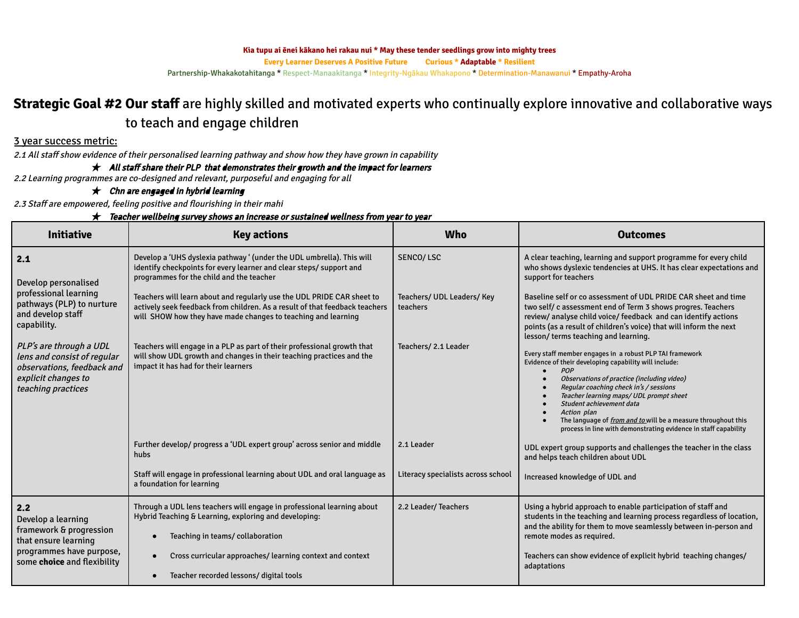**Kia tupu ai ēnei kākano hei rakau nui \* May these tender seedlings grow into mighty trees**

**Every Learner Deserves A Positive Future Curious \* Adaptable \* Resilient**

Partnership-Whakakotahitanga \* Respect-Manaakitanga \* Integrity-Ngākau Whakapono \* Determination-Manawanui \* Empathy-Aroha

# **Strategic Goal #2 Our staff** are highly skilled and motivated experts who continually explore innovative and collaborative ways to teach and engage children

## 3 year success metric:

2.1 All staff show evidence of their personalised learning pathway and show how they have grown in capability

 $\star$  All staff share their PLP that demonstrates their growth and the impact for learners

2.2 Learning programmes are co-designed and relevant, purposeful and engaging for all

## $\star$  Chn are engaged in hybrid learning

2.3 Staff are empowered, feeling positive and flourishing in their mahi

#### $\star$  Teacher wellbeing survey shows an increase or sustained wellness from year to year

| <b>Initiative</b>                                                                                                                 | <b>Key actions</b>                                                                                                                                                                                                     | Who                                    | <b>Outcomes</b>                                                                                                                                                                                                                                                                                                                                                                                                                                   |  |
|-----------------------------------------------------------------------------------------------------------------------------------|------------------------------------------------------------------------------------------------------------------------------------------------------------------------------------------------------------------------|----------------------------------------|---------------------------------------------------------------------------------------------------------------------------------------------------------------------------------------------------------------------------------------------------------------------------------------------------------------------------------------------------------------------------------------------------------------------------------------------------|--|
| 2.1<br>Develop personalised                                                                                                       | Develop a 'UHS dyslexia pathway ' (under the UDL umbrella). This will<br>identify checkpoints for every learner and clear steps/ support and<br>programmes for the child and the teacher                               | SENCO/LSC                              | A clear teaching, learning and support programme for every child<br>who shows dyslexic tendencies at UHS. It has clear expectations and<br>support for teachers                                                                                                                                                                                                                                                                                   |  |
| professional learning<br>pathways (PLP) to nurture<br>and develop staff<br>capability.                                            | Teachers will learn about and regularly use the UDL PRIDE CAR sheet to<br>actively seek feedback from children. As a result of that feedback teachers<br>will SHOW how they have made changes to teaching and learning | Teachers/ UDL Leaders/ Key<br>teachers | Baseline self or co assessment of UDL PRIDE CAR sheet and time<br>two self/c assessment end of Term 3 shows progres. Teachers<br>review/analyse child voice/ feedback and can identify actions<br>points (as a result of children's voice) that will inform the next<br>lesson/terms teaching and learning.                                                                                                                                       |  |
| PLP's are through a UDL<br>lens and consist of regular<br>observations, feedback and<br>explicit changes to<br>teaching practices | Teachers will engage in a PLP as part of their professional growth that<br>will show UDL growth and changes in their teaching practices and the<br>impact it has had for their learners                                | Teachers/ 2.1 Leader                   | Every staff member engages in a robust PLP TAI framework<br>Evidence of their developing capability will include:<br>POP<br>Observations of practice (including video)<br>Regular coaching check in's / sessions<br>Teacher learning maps/ UDL prompt sheet<br>Student achievement data<br>Action plan<br>The language of <i>from and to</i> will be a measure throughout this<br>process in line with demonstrating evidence in staff capability |  |
|                                                                                                                                   | Further develop/ progress a 'UDL expert group' across senior and middle<br>hubs                                                                                                                                        | 2.1 Leader                             | UDL expert group supports and challenges the teacher in the class<br>and helps teach children about UDL                                                                                                                                                                                                                                                                                                                                           |  |
|                                                                                                                                   | Staff will engage in professional learning about UDL and oral language as<br>a foundation for learning                                                                                                                 | Literacy specialists across school     | Increased knowledge of UDL and                                                                                                                                                                                                                                                                                                                                                                                                                    |  |
| 2.2<br>Develop a learning<br>framework & progression<br>that ensure learning                                                      | Through a UDL lens teachers will engage in professional learning about<br>Hybrid Teaching & Learning, exploring and developing:<br>Teaching in teams/collaboration                                                     | 2.2 Leader/ Teachers                   | Using a hybrid approach to enable participation of staff and<br>students in the teaching and learning process regardless of location,<br>and the ability for them to move seamlessly between in-person and<br>remote modes as required.                                                                                                                                                                                                           |  |
| programmes have purpose,<br>some <b>choice</b> and flexibility                                                                    | Cross curricular approaches/learning context and context<br>Teacher recorded lessons/ digital tools                                                                                                                    |                                        | Teachers can show evidence of explicit hybrid teaching changes/<br>adaptations                                                                                                                                                                                                                                                                                                                                                                    |  |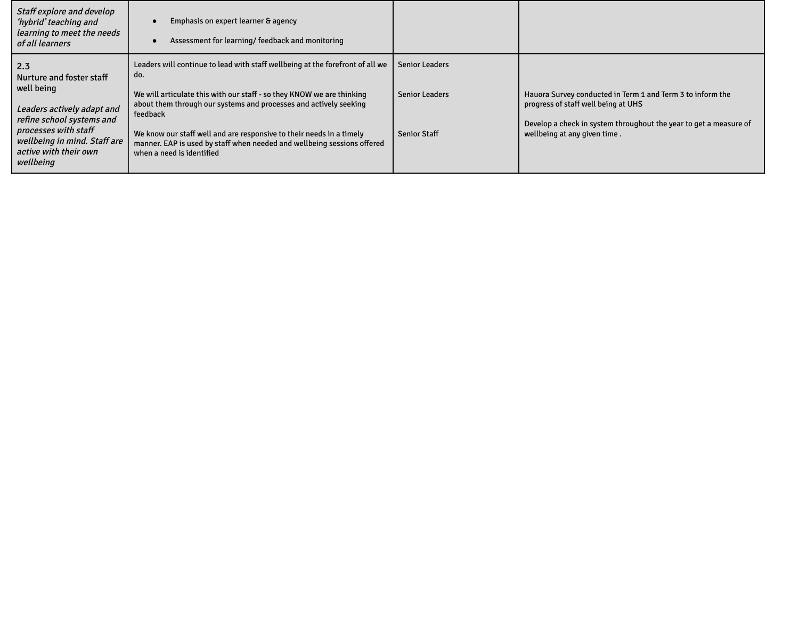| Staff explore and develop<br>'hybrid' teaching and<br>learning to meet the needs<br>of all learners                                                                                                    | Emphasis on expert learner & agency<br>Assessment for learning/feedback and monitoring                                                                                                                                                                                                                                                                                                                                         |                                                                       |                                                                                                                                                                                                        |
|--------------------------------------------------------------------------------------------------------------------------------------------------------------------------------------------------------|--------------------------------------------------------------------------------------------------------------------------------------------------------------------------------------------------------------------------------------------------------------------------------------------------------------------------------------------------------------------------------------------------------------------------------|-----------------------------------------------------------------------|--------------------------------------------------------------------------------------------------------------------------------------------------------------------------------------------------------|
| 2.3<br>Nurture and foster staff<br>well being<br>Leaders actively adapt and<br>refine school systems and<br>processes with staff<br>wellbeing in mind. Staff are<br>active with their own<br>wellbeing | Leaders will continue to lead with staff wellbeing at the forefront of all we<br>do.<br>We will articulate this with our staff - so they KNOW we are thinking<br>about them through our systems and processes and actively seeking<br>feedback<br>We know our staff well and are responsive to their needs in a timely<br>manner. EAP is used by staff when needed and wellbeing sessions offered<br>when a need is identified | <b>Senior Leaders</b><br><b>Senior Leaders</b><br><b>Senior Staff</b> | Hauora Survey conducted in Term 1 and Term 3 to inform the<br>progress of staff well being at UHS<br>Develop a check in system throughout the year to get a measure of<br>wellbeing at any given time. |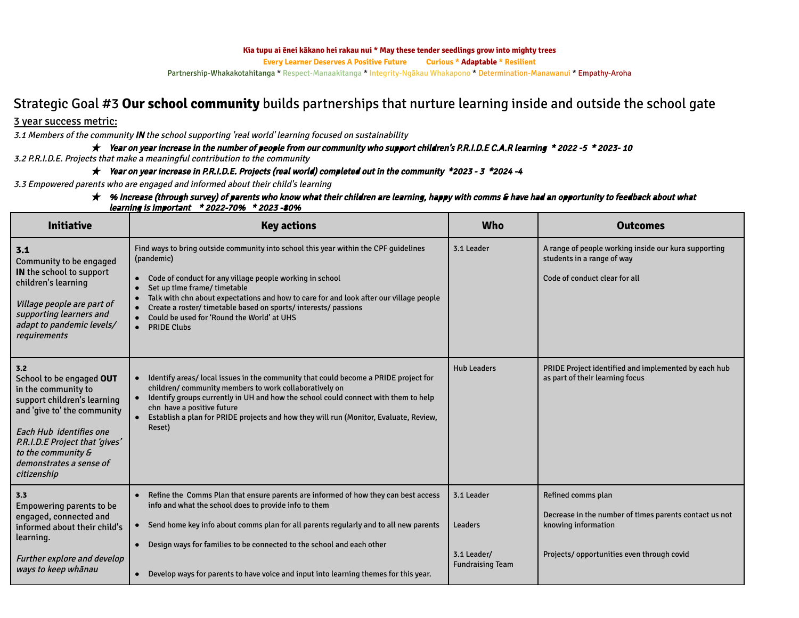#### **Kia tupu ai ēnei kākano hei rakau nui \* May these tender seedlings grow into mighty trees**

**Every Learner Deserves A Positive Future Curious \* Adaptable \* Resilient**

Partnership-Whakakotahitanga \* Respect-Manaakitanga \* Integrity-Ngākau Whakapono \* Determination-Manawanui \* Empathy-Aroha

# Strategic Goal #3 **Our school community** builds partnerships that nurture learning inside and outside the school gate

### 3 year success metric:

3.1 Members of the community IN the school supporting 'real world' learning focused on sustainability

★ Year on year increase in the number of people from our community who support children's P.R.I.D.E C.A.R learning \* <sup>2022</sup> -5 \* 2023- <sup>10</sup>

3.2 P.R.I.D.E. Projects that make <sup>a</sup> meaningful contribution to the community

★ Year on year increase in P.R.I.D.E. Projects (real world) completed out in the community \*2023 - <sup>3</sup> \*2024 -4

3.3 Empowered parents who are engaged and informed about their child's learning

#### $\star$  % Increase (through survey) of parents who know what their children are learning, happy with comms & have had an opportunity to feedback about what learning is important \* 2022-70% \* <sup>2023</sup> -80%

| <b>Initiative</b>                                                                                                                                                                                                                                 | <b>Key actions</b>                                                                                                                                                                                                                                                                                                                                                                                                           | <b>Who</b>                             | <b>Outcomes</b>                                                                                                     |
|---------------------------------------------------------------------------------------------------------------------------------------------------------------------------------------------------------------------------------------------------|------------------------------------------------------------------------------------------------------------------------------------------------------------------------------------------------------------------------------------------------------------------------------------------------------------------------------------------------------------------------------------------------------------------------------|----------------------------------------|---------------------------------------------------------------------------------------------------------------------|
| 3.1<br>Community to be engaged<br>IN the school to support<br>children's learning<br>Village people are part of<br>supporting learners and<br>adapt to pandemic levels/<br>requirements                                                           | Find ways to bring outside community into school this year within the CPF quidelines<br>(pandemic)<br>• Code of conduct for any village people working in school<br>Set up time frame/ timetable<br>Talk with chn about expectations and how to care for and look after our village people<br>Create a roster/ timetable based on sports/ interests/ passions<br>Could be used for 'Round the World' at UHS<br>• PRIDE Clubs | 3.1 Leader                             | A range of people working inside our kura supporting<br>students in a range of way<br>Code of conduct clear for all |
| 3.2<br>School to be engaged OUT<br>in the community to<br>support children's learning<br>and 'give to' the community<br>Each Hub identifies one<br>P.R.I.D.E Project that 'gives'<br>to the community &<br>demonstrates a sense of<br>citizenship | • Identify areas/local issues in the community that could become a PRIDE project for<br>children/community members to work collaboratively on<br>Identify groups currently in UH and how the school could connect with them to help<br>chn have a positive future<br>Establish a plan for PRIDE projects and how they will run (Monitor, Evaluate, Review,<br>Reset)                                                         | <b>Hub Leaders</b>                     | PRIDE Project identified and implemented by each hub<br>as part of their learning focus                             |
| 3.3<br><b>Empowering parents to be</b><br>engaged, connected and<br>informed about their child's<br>learning.                                                                                                                                     | Refine the Comms Plan that ensure parents are informed of how they can best access<br>info and what the school does to provide info to them<br>• Send home key info about comms plan for all parents regularly and to all new parents<br>Design ways for families to be connected to the school and each other                                                                                                               | 3.1 Leader<br><b>Leaders</b>           | Refined comms plan<br>Decrease in the number of times parents contact us not<br>knowing information                 |
| <b>Further explore and develop</b><br>ways to keep whānau                                                                                                                                                                                         | Develop ways for parents to have voice and input into learning themes for this year.                                                                                                                                                                                                                                                                                                                                         | 3.1 Leader/<br><b>Fundraising Team</b> | Projects/opportunities even through covid                                                                           |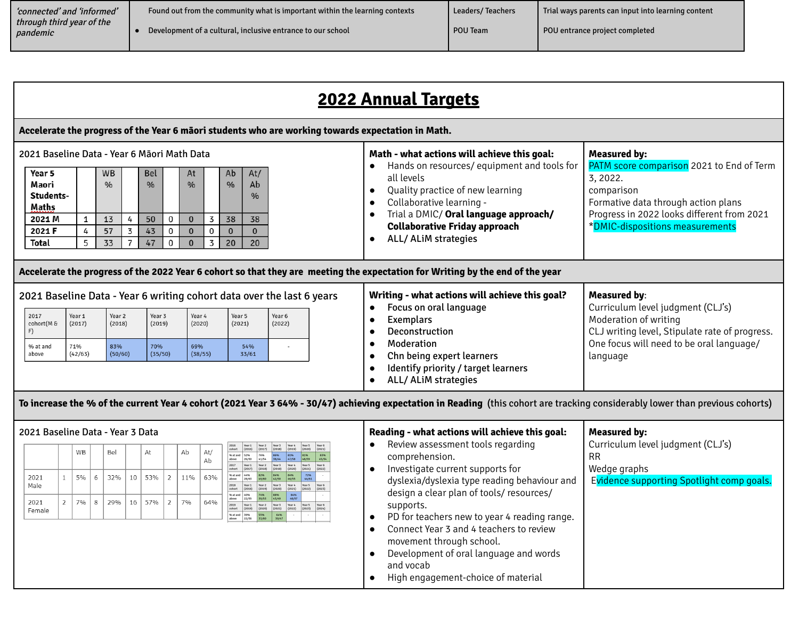| 'connected' and 'informed'                 | Found out from the community what is important within the learning contexts | <b>Leaders/Teachers</b> | Trial ways parents can input into learning content |
|--------------------------------------------|-----------------------------------------------------------------------------|-------------------------|----------------------------------------------------|
| through third vear of the $\,$<br>pandemic | Development of a cultural, inclusive entrance to our school                 | POU Team                | POU entrance project completed                     |

|                                                                                                                               | <b>2022 Annual Targets</b> |                                              |  |                                               |                    |                                                             |                    |                                                                                       |                                                                                           |                                                                                                                                                                                                                                                                                                                                                                                                                                                                                                                    |
|-------------------------------------------------------------------------------------------------------------------------------|----------------------------|----------------------------------------------|--|-----------------------------------------------|--------------------|-------------------------------------------------------------|--------------------|---------------------------------------------------------------------------------------|-------------------------------------------------------------------------------------------|--------------------------------------------------------------------------------------------------------------------------------------------------------------------------------------------------------------------------------------------------------------------------------------------------------------------------------------------------------------------------------------------------------------------------------------------------------------------------------------------------------------------|
| Accelerate the progress of the Year 6 māori students who are working towards expectation in Math.                             |                            |                                              |  |                                               |                    |                                                             |                    |                                                                                       |                                                                                           |                                                                                                                                                                                                                                                                                                                                                                                                                                                                                                                    |
| 2021 Baseline Data - Year 6 Māori Math Data<br>Year 5<br>Maori<br>Students-<br>Maths<br>2021 M<br>2021 F<br>Total             | $\mathbf{1}$<br>4<br>5     | <b>WB</b><br>$\frac{0}{0}$<br>13<br>57<br>33 |  | <b>Bel</b><br>$\frac{0}{0}$<br>50<br>43<br>47 | 0<br>$\Omega$<br>0 | At<br>$\frac{9}{6}$<br>$\mathbf{0}$<br>$\Omega$<br>$\Omega$ | 3<br>$\Omega$<br>3 | At/<br>Ab<br>$\frac{0}{0}$<br>Ab<br>$\frac{0}{0}$<br>38<br>38<br>$\bf{0}$<br>20<br>20 |                                                                                           | Math - what actions will achieve this goal:<br><b>Measured by:</b><br>PATM score comparison 2021 to End of Term<br>Hands on resources/equipment and tools for<br>all levels<br>3, 2022.<br>Quality practice of new learning<br>comparison<br>Collaborative learning -<br>Formative data through action plans<br>$\bullet$<br>Progress in 2022 looks different from 2021<br>Trial a DMIC/ Oral language approach/<br>*DMIC-dispositions measurements<br><b>Collaborative Friday approach</b><br>ALL/ALiM strategies |
| Accelerate the progress of the 2022 Year 6 cohort so that they are meeting the expectation for Writing by the end of the year |                            |                                              |  |                                               |                    |                                                             |                    |                                                                                       |                                                                                           |                                                                                                                                                                                                                                                                                                                                                                                                                                                                                                                    |
| 2017<br>cohort(M&<br>% at and                                                                                                 | Year 1<br>(2017)<br>71%    | Year 2<br>(2018)<br>83%                      |  | Year 3<br>(2019)<br>70%                       |                    | Year 4<br>(2020)<br>69%                                     |                    | Year 5<br>(2021)<br>54%                                                               | 2021 Baseline Data - Year 6 writing cohort data over the last 6 years<br>Year 6<br>(2022) | Writing - what actions will achieve this goal?<br><b>Measured by:</b><br>Focus on oral language<br>Curriculum level judgment (CLJ's)<br>$\bullet$<br>Moderation of writing<br><b>Exemplars</b><br>CLJ writing level, Stipulate rate of progress.<br>Deconstruction<br>One focus will need to be oral language/<br>Moderation                                                                                                                                                                                       |
| above                                                                                                                         | (42/63)                    | (50/60)                                      |  | (35/50)                                       |                    | (38/55)                                                     |                    | 33/61                                                                                 |                                                                                           | Chn being expert learners<br>language<br>$\bullet$                                                                                                                                                                                                                                                                                                                                                                                                                                                                 |

To increase the % of the current Year 4 cohort (2021 Year 3 64% - 30/47) achieving expectation in Reading (this cohort are tracking considerably lower than previous cohorts)

|                |                | WB |   | Bel |    | At  |                | Ab  | At/<br>Ab |
|----------------|----------------|----|---|-----|----|-----|----------------|-----|-----------|
| 2021<br>Male   | 1              | 5% | 6 | 32% | 10 | 53% | $\overline{2}$ | 11% | 63%       |
| 2021<br>Female | $\overline{2}$ | 7% | 8 | 29% | 16 | 57% | $\overline{2}$ | 7%  | 64%       |

# 016 | Year 1 | Year 2 | Year 3 | Year 4 | Year 5 | Year 6<br>| (2016) | (2017) | (2018) | (2019) | (2020) | (2021) 010111 (2012) (2021) (2021) (2022) (2022)<br>
albut 26/50 (2021) (2021) (2021) (2021) (2021) (2021) (2021) (2021) (2021) (2021) (2021) (2021) (2021) (2022) 813 and 44% 82% 84% 84% 72% 1<br>bove 28/63 49/60 42/50 46/55 44/61<br>018 Waar1 War2 Wax 38 Wax 4 Waar6 2019 (2021) 2020 2021 2022 2022 0 at and 40% 74% 88% 84% 84% at and 39% 55% 64%

# 2021 Baseline Data - Year 3 Data **Reading - what actions will achieve this goal:** ● Review assessment tools regarding

● Identify priority / target learners

● ALL/ ALiM strategies

comprehension. ● Investigate current supports for dyslexia/dyslexia type reading behaviour and design a clear plan of tools/ resources/ supports. ● PD for teachers new to year 4 reading range. ● Connect Year 3 and 4 teachers to review movement through school. Curriculum level judgment (CLJ's) RR Wedge graphs Evidence supporting Spotlight comp goals.

**Measured by:**

- Development of oral language and words and vocab
- High engagement-choice of material